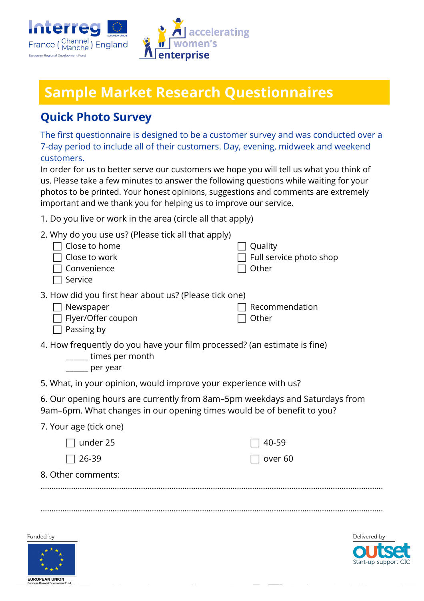



# **Sample Market Research Questionnaires**

#### **Quick Photo Survey**

The first questionnaire is designed to be a customer survey and was conducted over a 7-day period to include all of their customers. Day, evening, midweek and weekend customers.

In order for us to better serve our customers we hope you will tell us what you think of us. Please take a few minutes to answer the following questions while waiting for your photos to be printed. Your honest opinions, suggestions and comments are extremely important and we thank you for helping us to improve our service.

1. Do you live or work in the area (circle all that apply)

| Convenience<br>Service                                                                                                                                | 2. Why do you use us? (Please tick all that apply)<br>Close to home<br>Close to work                           | Quality<br>Full service photo shop<br>Other |  |  |  |  |
|-------------------------------------------------------------------------------------------------------------------------------------------------------|----------------------------------------------------------------------------------------------------------------|---------------------------------------------|--|--|--|--|
| Newspaper<br>Passing by                                                                                                                               | 3. How did you first hear about us? (Please tick one)<br>Flyer/Offer coupon                                    | Recommendation<br>Other                     |  |  |  |  |
|                                                                                                                                                       | 4. How frequently do you have your film processed? (an estimate is fine)<br>times per month<br>______ per year |                                             |  |  |  |  |
|                                                                                                                                                       | 5. What, in your opinion, would improve your experience with us?                                               |                                             |  |  |  |  |
| 6. Our opening hours are currently from 8am-5pm weekdays and Saturdays from<br>9am-6pm. What changes in our opening times would be of benefit to you? |                                                                                                                |                                             |  |  |  |  |
| 7. Your age (tick one)                                                                                                                                |                                                                                                                |                                             |  |  |  |  |
|                                                                                                                                                       | under 25                                                                                                       | 40-59                                       |  |  |  |  |
| 26-39                                                                                                                                                 |                                                                                                                | over <sub>60</sub>                          |  |  |  |  |
| 8. Other comments:                                                                                                                                    |                                                                                                                |                                             |  |  |  |  |
|                                                                                                                                                       |                                                                                                                |                                             |  |  |  |  |
|                                                                                                                                                       |                                                                                                                |                                             |  |  |  |  |
|                                                                                                                                                       |                                                                                                                |                                             |  |  |  |  |
| Funded by                                                                                                                                             |                                                                                                                | Delivered b                                 |  |  |  |  |



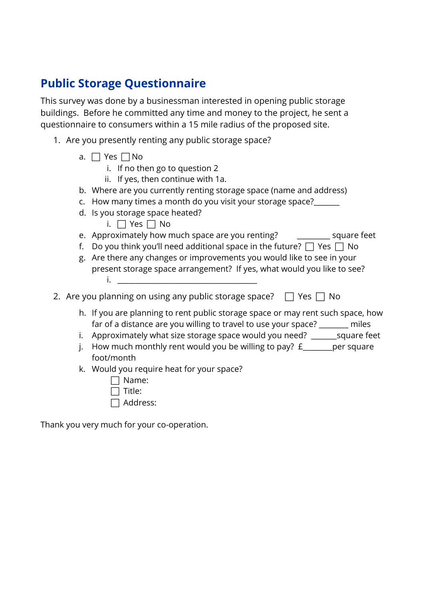### **Public Storage Questionnaire**

This survey was done by a businessman interested in opening public storage buildings. Before he committed any time and money to the project, he sent a questionnaire to consumers within a 15 mile radius of the proposed site.

- 1. Are you presently renting any public storage space?
	- a.  $\Box$  Yes  $\Box$  No
		- i. If no then go to question 2
		- ii. If yes, then continue with 1a.
	- b. Where are you currently renting storage space (name and address)
	- c. How many times a month do you visit your storage space?\_\_\_\_\_\_\_
	- d. Is you storage space heated?
		- i.  $\Box$  Yes  $\Box$  No
	- e. Approximately how much space are you renting? \_\_\_\_\_\_\_\_\_\_ square feet
	- f. Do you think you'll need additional space in the future?  $\Box$  Yes  $\Box$  No
	- g. Are there any changes or improvements you would like to see in your present storage space arrangement? If yes, what would you like to see?  $i.$   $\Box$
- 2. Are you planning on using any public storage space?  $\Box$  Yes  $\Box$  No
	- h. If you are planning to rent public storage space or may rent such space, how far of a distance are you willing to travel to use your space? \_\_\_\_\_\_\_\_ miles
	- i. Approximately what size storage space would you need? \_\_\_\_\_\_\_\_\_ square feet
	- i. How much monthly rent would you be willing to pay?  $f_$  \_\_\_\_\_\_\_ per square foot/month
	- k. Would you require heat for your space?
		- $\Box$  Name:  $\Box$  Title:
		- $\Box$  Address:

Thank you very much for your co-operation.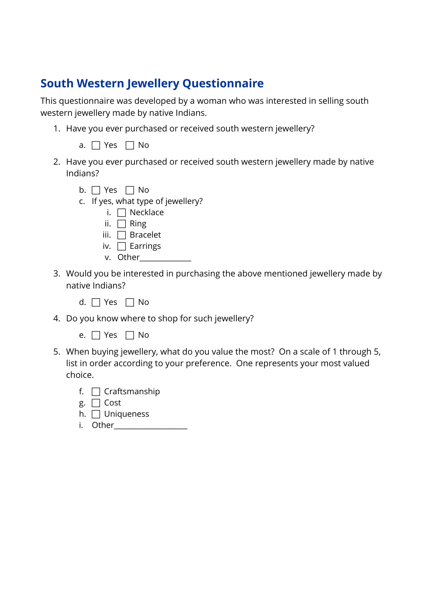### **South Western Jewellery Questionnaire**

This questionnaire was developed by a woman who was interested in selling south western jewellery made by native Indians.

1. Have you ever purchased or received south western jewellery?

|  | <b>__</b> |  | N٥ |
|--|-----------|--|----|
|--|-----------|--|----|

- 2. Have you ever purchased or received south western jewellery made by native Indians?
	- b.  $\Box$  Yes  $\Box$  No
	- c. If yes, what type of jewellery?
		- i.  $\Box$  Necklace
		- ii.  $\Box$  Ring
		- iii.  $\Box$  Bracelet
		- iv.  $\Box$  Earrings
		- v. Other\_\_\_\_\_\_\_\_\_\_\_\_\_\_
- 3. Would you be interested in purchasing the above mentioned jewellery made by native Indians?
	- d.  $\Box$  Yes  $\Box$  No
- 4. Do you know where to shop for such jewellery?
	- e.  $\Box$  Yes  $\Box$  No
- 5. When buying jewellery, what do you value the most? On a scale of 1 through 5, list in order according to your preference. One represents your most valued choice.
	- f.  $\Box$  Craftsmanship
	- g.  $\Box$  Cost
	- h.  $\Box$  Uniqueness
	- i. Other\_\_\_\_\_\_\_\_\_\_\_\_\_\_\_\_\_\_\_\_